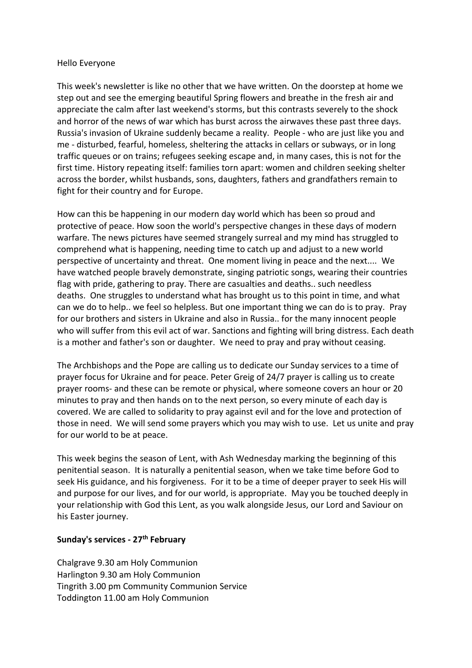### Hello Everyone

This week's newsletter is like no other that we have written. On the doorstep at home we step out and see the emerging beautiful Spring flowers and breathe in the fresh air and appreciate the calm after last weekend's storms, but this contrasts severely to the shock and horror of the news of war which has burst across the airwaves these past three days. Russia's invasion of Ukraine suddenly became a reality. People - who are just like you and me - disturbed, fearful, homeless, sheltering the attacks in cellars or subways, or in long traffic queues or on trains; refugees seeking escape and, in many cases, this is not for the first time. History repeating itself: families torn apart: women and children seeking shelter across the border, whilst husbands, sons, daughters, fathers and grandfathers remain to fight for their country and for Europe.

How can this be happening in our modern day world which has been so proud and protective of peace. How soon the world's perspective changes in these days of modern warfare. The news pictures have seemed strangely surreal and my mind has struggled to comprehend what is happening, needing time to catch up and adjust to a new world perspective of uncertainty and threat. One moment living in peace and the next.... We have watched people bravely demonstrate, singing patriotic songs, wearing their countries flag with pride, gathering to pray. There are casualties and deaths.. such needless deaths. One struggles to understand what has brought us to this point in time, and what can we do to help.. we feel so helpless. But one important thing we can do is to pray. Pray for our brothers and sisters in Ukraine and also in Russia.. for the many innocent people who will suffer from this evil act of war. Sanctions and fighting will bring distress. Each death is a mother and father's son or daughter. We need to pray and pray without ceasing.

The Archbishops and the Pope are calling us to dedicate our Sunday services to a time of prayer focus for Ukraine and for peace. Peter Greig of 24/7 prayer is calling us to create prayer rooms- and these can be remote or physical, where someone covers an hour or 20 minutes to pray and then hands on to the next person, so every minute of each day is covered. We are called to solidarity to pray against evil and for the love and protection of those in need. We will send some prayers which you may wish to use. Let us unite and pray for our world to be at peace.

This week begins the season of Lent, with Ash Wednesday marking the beginning of this penitential season. It is naturally a penitential season, when we take time before God to seek His guidance, and his forgiveness. For it to be a time of deeper prayer to seek His will and purpose for our lives, and for our world, is appropriate. May you be touched deeply in your relationship with God this Lent, as you walk alongside Jesus, our Lord and Saviour on his Easter journey.

### **Sunday's services - 27th February**

Chalgrave 9.30 am Holy Communion Harlington 9.30 am Holy Communion Tingrith 3.00 pm Community Communion Service Toddington 11.00 am Holy Communion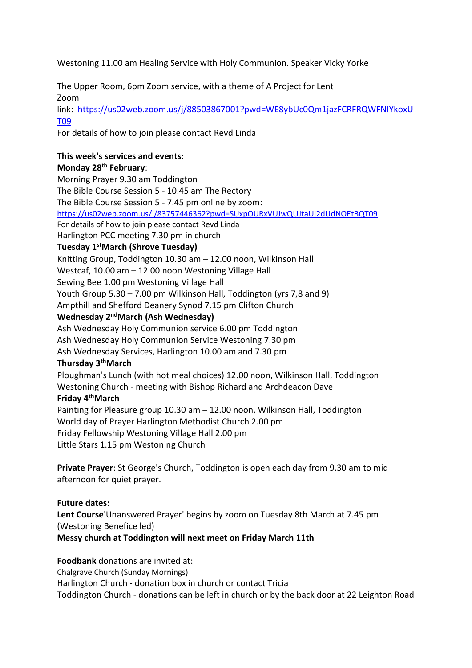Westoning 11.00 am Healing Service with Holy Communion. Speaker Vicky Yorke

The Upper Room, 6pm Zoom service, with a theme of A Project for Lent Zoom

link: [https://us02web.zoom.us/j/88503867001?pwd=WE8ybUc0Qm1jazFCRFRQWFNIYkoxU](https://us02web.zoom.us/j/88503867001?pwd=WE8ybUc0Qm1jazFCRFRQWFNIYkoxUT09) [T09](https://us02web.zoom.us/j/88503867001?pwd=WE8ybUc0Qm1jazFCRFRQWFNIYkoxUT09)

For details of how to join please contact Revd Linda

### **This week's services and events: Monday 28th February**:

Morning Prayer 9.30 am Toddington The Bible Course Session 5 - 10.45 am The Rectory The Bible Course Session 5 - 7.45 pm online by zoom: <https://us02web.zoom.us/j/83757446362?pwd=SUxpOURxVUJwQUJtaUI2dUdNOEtBQT09> For details of how to join please contact Revd Linda Harlington PCC meeting 7.30 pm in church **Tuesday 1stMarch (Shrove Tuesday)** Knitting Group, Toddington 10.30 am – 12.00 noon, Wilkinson Hall Westcaf, 10.00 am – 12.00 noon Westoning Village Hall Sewing Bee 1.00 pm Westoning Village Hall Youth Group 5.30 – 7.00 pm Wilkinson Hall, Toddington (yrs 7,8 and 9) Ampthill and Shefford Deanery Synod 7.15 pm Clifton Church **Wednesday 2 ndMarch (Ash Wednesday)** Ash Wednesday Holy Communion service 6.00 pm Toddington Ash Wednesday Holy Communion Service Westoning 7.30 pm

Ash Wednesday Services, Harlington 10.00 am and 7.30 pm

# **Thursday 3thMarch**

Ploughman's Lunch (with hot meal choices) 12.00 noon, Wilkinson Hall, Toddington Westoning Church - meeting with Bishop Richard and Archdeacon Dave

# **Friday 4thMarch**

Painting for Pleasure group 10.30 am – 12.00 noon, Wilkinson Hall, Toddington World day of Prayer Harlington Methodist Church 2.00 pm Friday Fellowship Westoning Village Hall 2.00 pm Little Stars 1.15 pm Westoning Church

**Private Prayer**: St George's Church, Toddington is open each day from 9.30 am to mid afternoon for quiet prayer.

**Future dates: Lent Course**'Unanswered Prayer' begins by zoom on Tuesday 8th March at 7.45 pm (Westoning Benefice led) **Messy church at Toddington will next meet on Friday March 11th**

**Foodbank** donations are invited at: Chalgrave Church (Sunday Mornings) Harlington Church - donation box in church or contact Tricia Toddington Church - donations can be left in church or by the back door at 22 Leighton Road